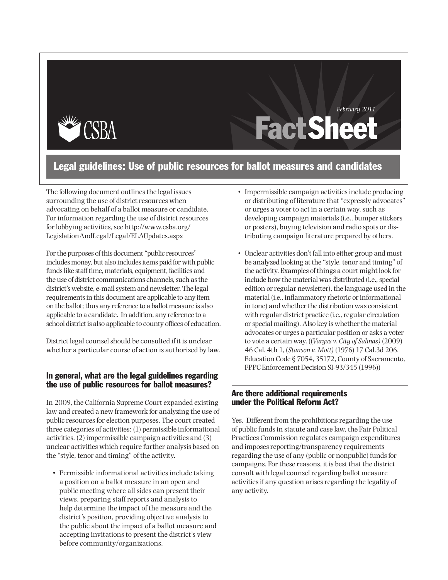

# **Fact Sheet** *February 2011*

### Legal guidelines: Use of public resources for ballot measures and candidates

The following document outlines the legal issues surrounding the use of district resources when advocating on behalf of a ballot measure or candidate. For information regarding the use of district resources for lobbying activities, see http://www.csba.org/ LegislationAndLegal/Legal/ELAUpdates.aspx

For the purposes of this document "public resources" includes money, but also includes items paid for with public funds like staff time, materials, equipment, facilities and the use of district communications channels, such as the district's website, e-mail system and newsletter. The legal requirements in this document are applicable to any item on the ballot; thus any reference to a ballot measure is also applicable to a candidate. In addition, any reference to a school district is also applicable to county offices of education.

District legal counsel should be consulted if it is unclear whether a particular course of action is authorized by law.

#### In general, what are the legal guidelines regarding the use of public resources for ballot measures?

In 2009, the California Supreme Court expanded existing law and created a new framework for analyzing the use of public resources for election purposes. The court created three categories of activities: (1) permissible informational activities, (2) impermissible campaign activities and (3) unclear activities which require further analysis based on the "style, tenor and timing" of the activity.

• Permissible informational activities include taking a position on a ballot measure in an open and public meeting where all sides can present their views, preparing staff reports and analysis to help determine the impact of the measure and the district's position, providing objective analysis to the public about the impact of a ballot measure and accepting invitations to present the district's view before community/organizations.

- Impermissible campaign activities include producing or distributing of literature that "expressly advocates" or urges a voter to act in a certain way, such as developing campaign materials (i.e., bumper stickers or posters), buying television and radio spots or distributing campaign literature prepared by others.
- • Unclear activities don't fall into either group and must be analyzed looking at the "style, tenor and timing" of the activity. Examples of things a court might look for include how the material was distributed (i.e., special edition or regular newsletter), the language used in the material (i.e., inflammatory rhetoric or informational in tone) and whether the distribution was consistent with regular district practice (i.e., regular circulation or special mailing). Also key is whether the material advocates or urges a particular position or asks a voter to vote a certain way. ((*Vargas v. City of Salinas)* (2009) 46 Cal. 4th 1, (*Stanson v. Mott)* (1976) 17 Cal.3d 206, Education Code § 7054, 35172, County of Sacramento, FPPC Enforcement Decision SI-93/345 (1996))

#### Are there additional requirements under the Political Reform Act?

Yes. Different from the prohibitions regarding the use of public fundsin statute and case law, the Fair Political Practices Commission regulates campaign expenditures and imposes reporting/transparency requirements regarding the use of any (public or nonpublic) funds for campaigns. For these reasons, it is best that the district consult with legal counsel regarding ballot measure activities if any question arises regarding the legality of any activity.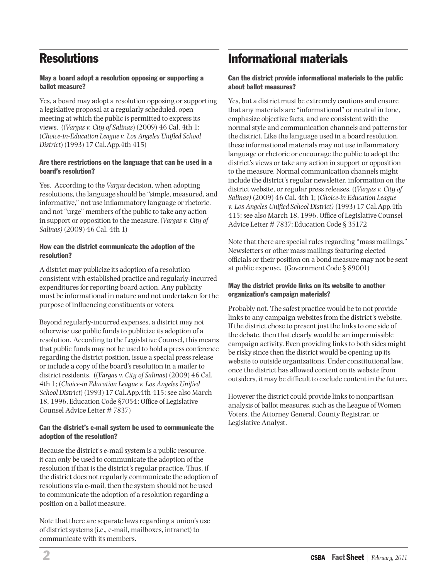## **Resolutions**

#### May a board adopt a resolution opposing or supporting a ballot measure?

Yes, a board may adopt a resolution opposing or supporting a legislative proposal at a regularly scheduled, open meeting at which the public is permitted to express its views. ((*Vargas v. City of Salinas*) (2009) 46 Cal. 4th 1; (*Choice-in-Education League v. Los Angeles Unified School District*) (1993) 17 Cal.App.4th 415)

#### Are there restrictions on the language that can be used in a board's resolution?

Yes. According to the *Vargas* decision, when adopting resolutions, the language should be "simple, measured, and informative," not use inflammatory language or rhetoric, and not "urge" members of the public to take any action in support or opposition to the measure. (*Vargas v. City of Salinas)* (2009) 46 Cal. 4th 1)

#### How can the district communicate the adoption of the resolution?

A district may publicize its adoption of a resolution consistent with established practice and regularly-incurred expenditures for reporting board action. Any publicity must be informational in nature and not undertaken for the purpose of influencing constituents or voters.

Beyond regularly-incurred expenses, a district may not otherwise use public funds to publicize its adoption of a resolution. According to the Legislative Counsel, this means that public funds may not be used to hold a press conference regarding the district position, issue a special press release or include a copy of the board's resolution in a mailer to district residents. ((*Vargas v. City of Salinas*) (2009) 46 Cal. 4th 1; (*Choice-in Education League v. Los Angeles Unified School District*) (1993) 17 Cal.App.4th 415; see also March 18, 1996, Education Code §7054; Office of Legislative Counsel Advice Letter # 7837)

#### Can the district's e-mail system be used to communicate the adoption of the resolution?

Because the district's e-mail system is a public resource, it can only be used to communicate the adoption of the resolution if that is the district's regular practice. Thus, if the district does not regularly communicate the adoption of resolutions via e-mail, then the system should not be used to communicate the adoption of a resolution regarding a position on a ballot measure.

Note that there are separate laws regarding a union's use of district systems (i.e., e-mail, mailboxes, intranet) to communicate with its members.

## Informational materials

Can the district provide informational materials to the public about ballot measures?

Yes, but a district must be extremely cautious and ensure that any materials are "informational" or neutral in tone, emphasize objective facts, and are consistent with the normal style and communication channels and patterns for the district. Like the language used in a board resolution, these informational materials may not use inflammatory language or rhetoric or encourage the public to adopt the district's views or take any action in support or opposition to the measure. Normal communication channels might include the district's regular newsletter, information on the district website, or regular press releases. ((*Vargas v. City of Salinas)* (2009) 46 Cal. 4th 1; (*Choice-in Education League v. Los Angeles Unified School District)* (1993) 17 Cal.App.4th 415; see also March 18, 1996, Office of Legislative Counsel Advice Letter # 7837; Education Code § 35172

Note that there are special rules regarding "mass mailings." Newsletters or other mass mailings featuring elected officials or their position on a bond measure may not be sent at public expense. (Government Code § 89001)

#### May the district provide links on its website to another organization's campaign materials?

Probably not. The safest practice would be to not provide links to any campaign websites from the district's website. If the district chose to present just the links to one side of the debate, then that clearly would be an impermissible campaign activity. Even providing links to both sides might be risky since then the district would be opening up its website to outside organizations. Under constitutional law, once the district has allowed content on its website from outsiders, it may be difficult to exclude content in the future.

However the district could provide links to nonpartisan analysis of ballot measures, such as the League of Women Voters, the Attorney General, County Registrar, or Legislative Analyst.